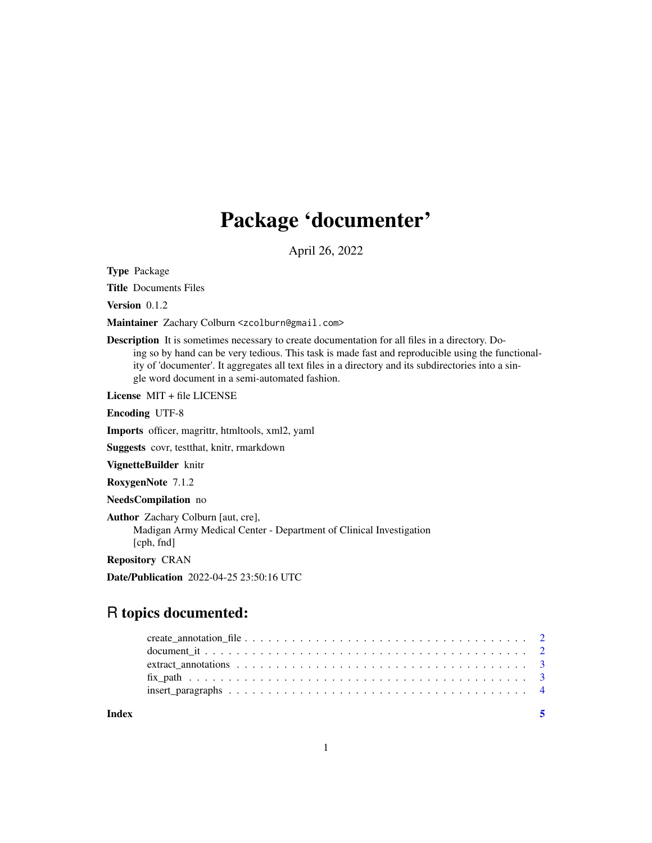## Package 'documenter'

April 26, 2022

Type Package

Title Documents Files

Version 0.1.2

Maintainer Zachary Colburn <zcolburn@gmail.com>

Description It is sometimes necessary to create documentation for all files in a directory. Doing so by hand can be very tedious. This task is made fast and reproducible using the functionality of 'documenter'. It aggregates all text files in a directory and its subdirectories into a single word document in a semi-automated fashion.

License MIT + file LICENSE

Encoding UTF-8

Imports officer, magrittr, htmltools, xml2, yaml

Suggests covr, testthat, knitr, rmarkdown

VignetteBuilder knitr

RoxygenNote 7.1.2

NeedsCompilation no

Author Zachary Colburn [aut, cre], Madigan Army Medical Center - Department of Clinical Investigation [cph, fnd]

Repository CRAN

Date/Publication 2022-04-25 23:50:16 UTC

### R topics documented:

**Index** [5](#page-4-0). The second state of the second state of the second state of the second state of the second state of the second state of the second state of the second state of the second state of the second state of the second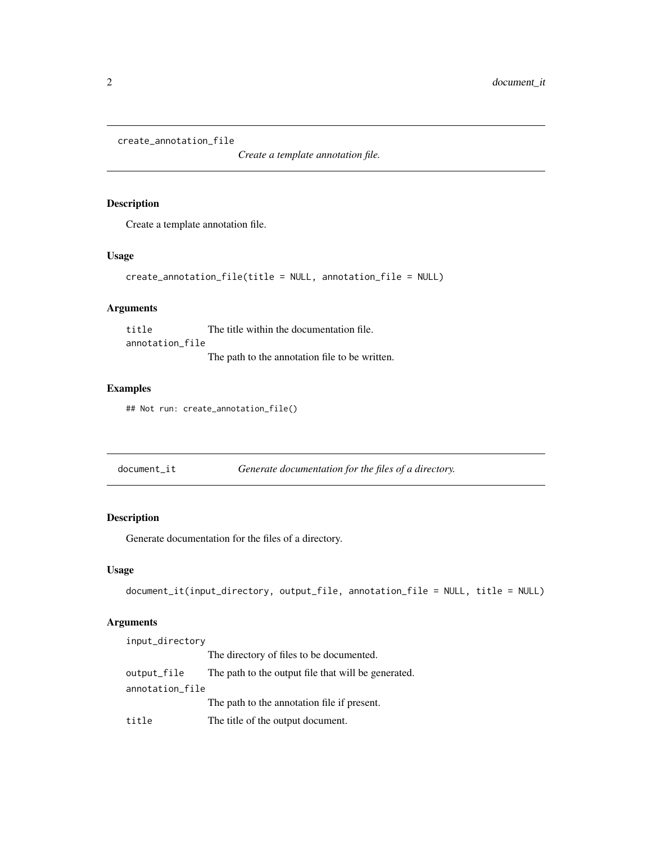```
create_annotation_file
```
*Create a template annotation file.*

#### Description

Create a template annotation file.

#### Usage

```
create_annotation_file(title = NULL, annotation_file = NULL)
```
#### Arguments

title The title within the documentation file. annotation\_file The path to the annotation file to be written.

#### Examples

```
## Not run: create_annotation_file()
```

| document_it | Generate documentation for the files of a directory. |  |  |  |
|-------------|------------------------------------------------------|--|--|--|
|-------------|------------------------------------------------------|--|--|--|

#### Description

Generate documentation for the files of a directory.

#### Usage

```
document_it(input_directory, output_file, annotation_file = NULL, title = NULL)
```
#### Arguments

| input_directory |                                                     |
|-----------------|-----------------------------------------------------|
|                 | The directory of files to be documented.            |
| output_file     | The path to the output file that will be generated. |
| annotation_file |                                                     |
|                 | The path to the annotation file if present.         |
| title           | The title of the output document.                   |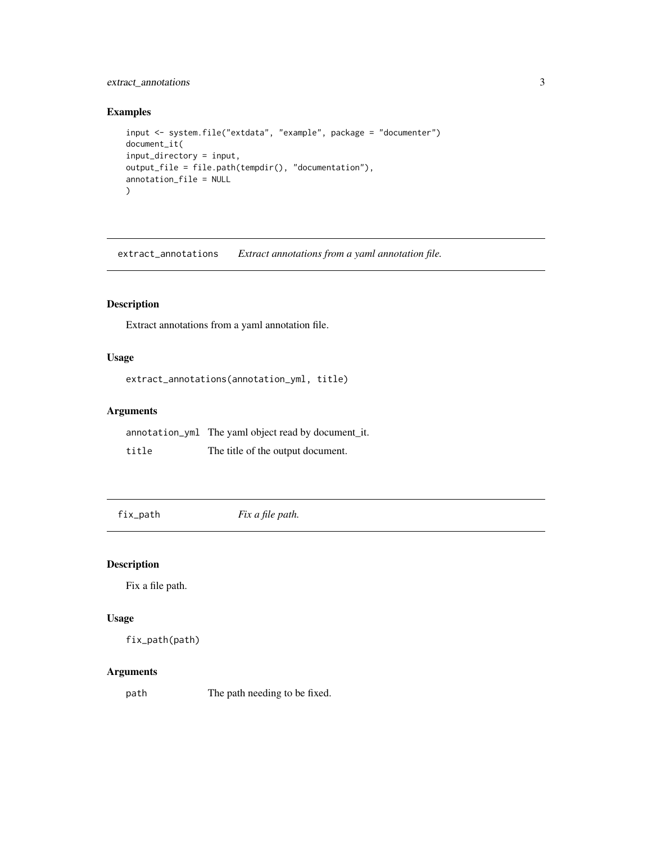#### <span id="page-2-0"></span>extract\_annotations 3

#### Examples

```
input <- system.file("extdata", "example", package = "documenter")
document_it(
input_directory = input,
output_file = file.path(tempdir(), "documentation"),
annotation_file = NULL
)
```
extract\_annotations *Extract annotations from a yaml annotation file.*

#### Description

Extract annotations from a yaml annotation file.

#### Usage

```
extract_annotations(annotation_yml, title)
```
#### Arguments

|       | annotation_yml The yaml object read by document_it. |
|-------|-----------------------------------------------------|
| title | The title of the output document.                   |

fix\_path *Fix a file path.*

#### Description

Fix a file path.

#### Usage

```
fix_path(path)
```
#### Arguments

path The path needing to be fixed.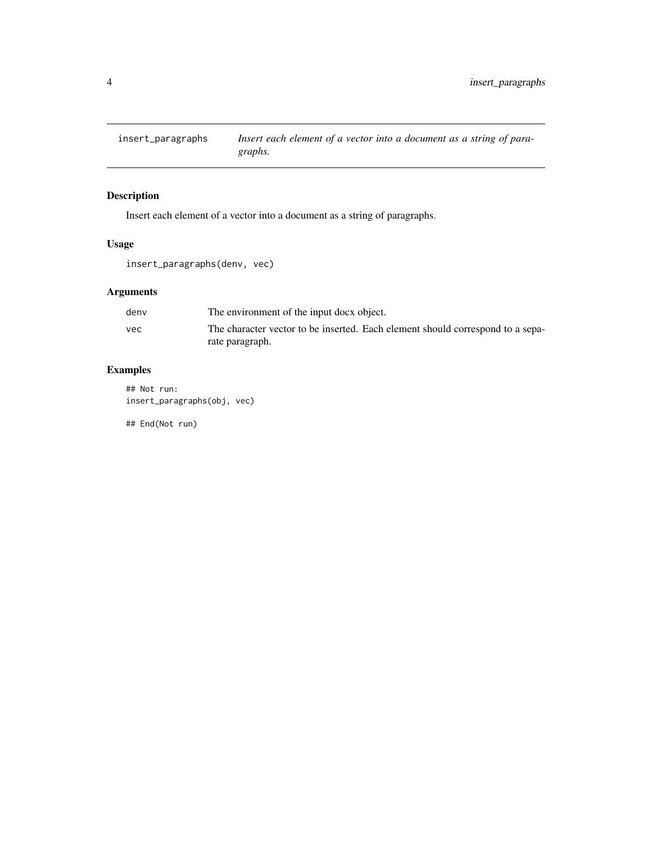<span id="page-3-0"></span>

#### Description

Insert each element of a vector into a document as a string of paragraphs.

#### Usage

insert\_paragraphs(denv, vec)

#### Arguments

| denv | The environment of the input docx object.                                      |
|------|--------------------------------------------------------------------------------|
| vec  | The character vector to be inserted. Each element should correspond to a sepa- |
|      | rate paragraph.                                                                |

#### Examples

## Not run: insert\_paragraphs(obj, vec)

## End(Not run)